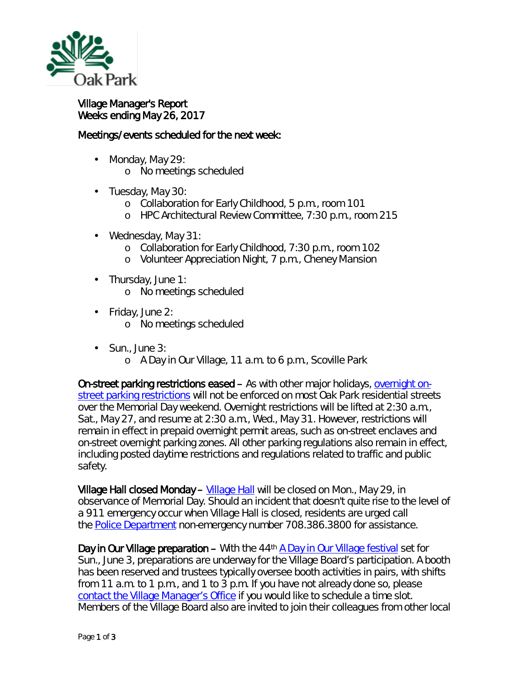

## Village Manager's Report Weeks ending May 26, 2017

## Meetings/events scheduled for the next week:

- L. Monday, May 29:
	- o No meetings scheduled
- Tuesday, May 30:
	- o Collaboration for Early Childhood, 5 p.m., room 101
	- o HPC Architectural Review Committee, 7:30 p.m., room 215
- Wednesday, May 31: ä,
	- o Collaboration for Early Childhood, 7:30 p.m., room 102
	- o Volunteer Appreciation Night, 7 p.m., Cheney Mansion
- Thursday, June 1: ċ,
	- o No meetings scheduled
- ä, Friday, June 2: o No meetings scheduled
- Sun., June 3:  $\mathcal{L}^{\text{max}}$ o A Day in Our Village, 11 a.m. to 6 p.m., Scoville Park

On-street parking restrictions eased – As with other major holidays, [overnight on](http://www.oak-park.us/village-services/parking/parking-guidelines-restrictions)[street parking restrictions](http://www.oak-park.us/village-services/parking/parking-guidelines-restrictions) will not be enforced on most Oak Park residential streets over the Memorial Day weekend. Overnight restrictions will be lifted at 2:30 a.m., Sat., May 27, and resume at 2:30 a.m., Wed., May 31. However, restrictions will remain in effect in prepaid overnight permit areas, such as on-street enclaves and on-street overnight parking zones. All other parking regulations also remain in effect, including posted daytime restrictions and regulations related to traffic and public safety.

Village Hall closed Monday – [Village Hall](http://www.oak-park.us/your-government/village-manager/village-hall) will be closed on Mon., May 29, in observance of Memorial Day. Should an incident that doesn't quite rise to the level of a 911 emergency occur when Village Hall is closed, residents are urged call the [Police Department](http://www.oak-park.us/village-services/police-department) non-emergency number 708.386.3800 for assistance.

Day in Our Village preparation  $-$  With the 44<sup>th</sup> [A Day in Our Village festival](http://www.oak-park.us/our-community/special-events/day-our-village) set for Sun., June 3, preparations are underway for the Village Board's participation. A booth has been reserved and trustees typically oversee booth activities in pairs, with shifts from 11 a.m. to 1 p.m., and 1 to 3 p.m. If you have not already done so, please [contact the Village Manager's Office](mailto:vlogan@oak-park.us?subject=A%20Day%20in%20Our%20Village%20participation%20confirmation) if you would like to schedule a time slot. Members of the Village Board also are invited to join their colleagues from other local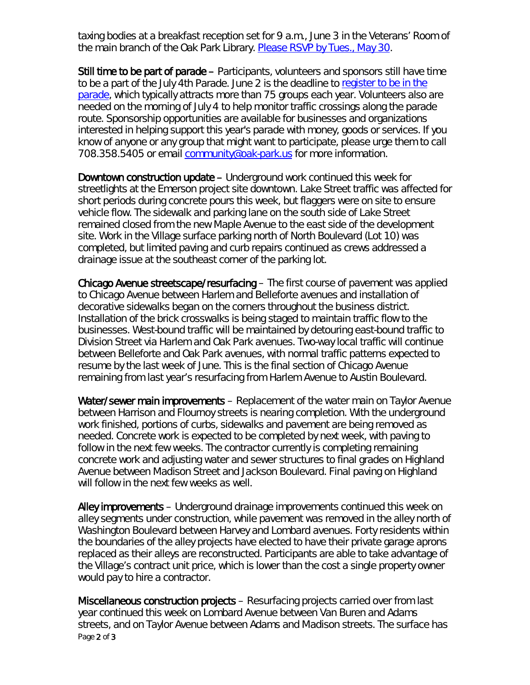taxing bodies at a breakfast reception set for 9 a.m., June 3 in the Veterans' Room of the main branch of the Oak Park Library. [Please RSVP by Tues., May 30.](mailto:vlogan@oak-park.us?subject=Elected%20Officials%20Breakfast%20Reception%20RSVP)

Still time to be part of parade – Participants, volunteers and sponsors still have time to be a part of the July 4th Parade. June 2 is the deadline to [register to be in the](http://www.oak-park.us/our-community/special-events/july-4-parade/july-4-parade-participation-application)  [parade,](http://www.oak-park.us/our-community/special-events/july-4-parade/july-4-parade-participation-application) which typically attracts more than 75 groups each year. Volunteers also are needed on the morning of July 4 to help monitor traffic crossings along the parade route. Sponsorship opportunities are available for businesses and organizations interested in helping support this year's parade with money, goods or services. If you know of anyone or any group that might want to participate, please urge them to call 708.358.5405 or email [community@oak-park.us](mailto:community@oak-park.us) for more information.

Downtown construction update – Underground work continued this week for streetlights at the Emerson project site downtown. Lake Street traffic was affected for short periods during concrete pours this week, but flaggers were on site to ensure vehicle flow. The sidewalk and parking lane on the south side of Lake Street remained closed from the new Maple Avenue to the east side of the development site. Work in the Village surface parking north of North Boulevard (Lot 10) was completed, but limited paving and curb repairs continued as crews addressed a drainage issue at the southeast corner of the parking lot.

Chicago Avenue streetscape/resurfacing – The first course of pavement was applied to Chicago Avenue between Harlem and Belleforte avenues and installation of decorative sidewalks began on the corners throughout the business district. Installation of the brick crosswalks is being staged to maintain traffic flow to the businesses. West-bound traffic will be maintained by detouring east-bound traffic to Division Street via Harlem and Oak Park avenues. Two-way local traffic will continue between Belleforte and Oak Park avenues, with normal traffic patterns expected to resume by the last week of June. This is the final section of Chicago Avenue remaining from last year's resurfacing from Harlem Avenue to Austin Boulevard.

Water/sewer main improvements – Replacement of the water main on Taylor Avenue between Harrison and Flournoy streets is nearing completion. With the underground work finished, portions of curbs, sidewalks and pavement are being removed as needed. Concrete work is expected to be completed by next week, with paving to follow in the next few weeks. The contractor currently is completing remaining concrete work and adjusting water and sewer structures to final grades on Highland Avenue between Madison Street and Jackson Boulevard. Final paving on Highland will follow in the next few weeks as well.

Alley improvements – Underground drainage improvements continued this week on alley segments under construction, while pavement was removed in the alley north of Washington Boulevard between Harvey and Lombard avenues. Forty residents within the boundaries of the alley projects have elected to have their private garage aprons replaced as their alleys are reconstructed. Participants are able to take advantage of the Village's contract unit price, which is lower than the cost a single property owner would pay to hire a contractor.

Page 2 of 3 Miscellaneous construction projects – Resurfacing projects carried over from last year continued this week on Lombard Avenue between Van Buren and Adams streets, and on Taylor Avenue between Adams and Madison streets. The surface has